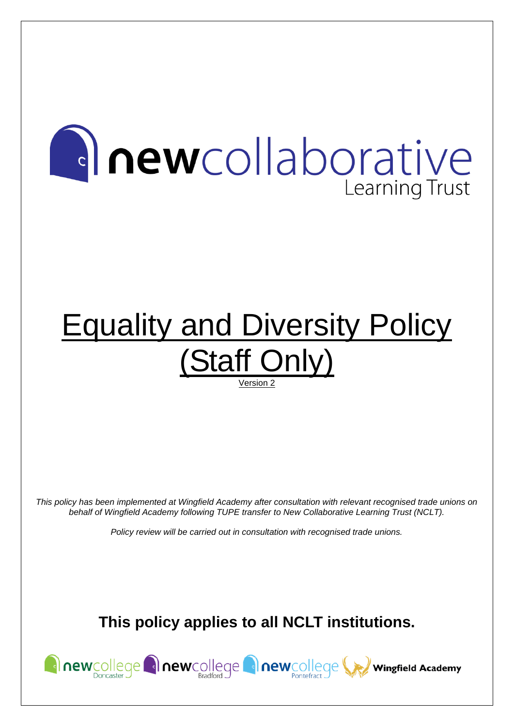# **Anewcollaborative** Learning Trust

# **Equality and Diversity Policy** (Staff Only) Version 2

*This policy has been implemented at Wingfield Academy after consultation with relevant recognised trade unions on behalf of Wingfield Academy following TUPE transfer to New Collaborative Learning Trust (NCLT).*

*Policy review will be carried out in consultation with recognised trade unions.*

**This policy applies to all NCLT institutions.**

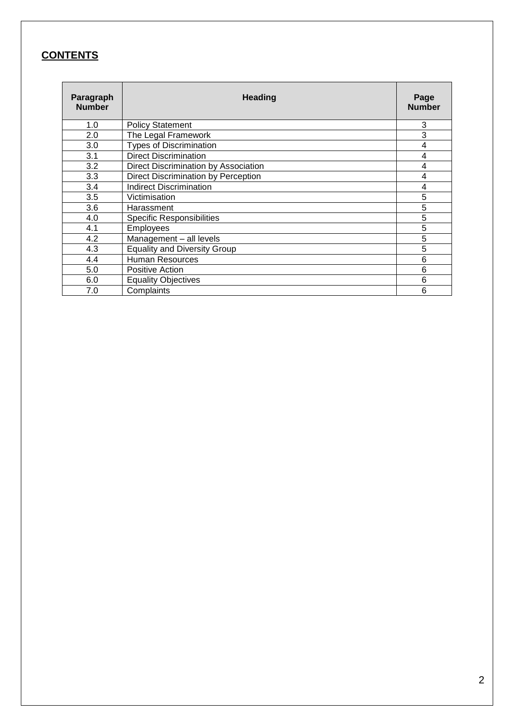## **CONTENTS**

| Paragraph<br><b>Number</b> | <b>Heading</b>                       |                |  |  |
|----------------------------|--------------------------------------|----------------|--|--|
| 1.0                        | <b>Policy Statement</b>              | 3              |  |  |
| 2.0                        | The Legal Framework                  | 3              |  |  |
| 3.0                        | <b>Types of Discrimination</b>       | 4              |  |  |
| 3.1                        | <b>Direct Discrimination</b>         | 4              |  |  |
| 3.2                        | Direct Discrimination by Association | 4              |  |  |
| 3.3                        | Direct Discrimination by Perception  | $\overline{4}$ |  |  |
| 3.4                        | <b>Indirect Discrimination</b>       | 4              |  |  |
| 3.5                        | Victimisation                        | 5              |  |  |
| 3.6                        | Harassment                           | 5              |  |  |
| 4.0                        | <b>Specific Responsibilities</b>     | 5              |  |  |
| 4.1                        | Employees                            | 5              |  |  |
| 4.2                        | Management - all levels              | 5              |  |  |
| 4.3                        | <b>Equality and Diversity Group</b>  | 5              |  |  |
| 4.4                        | Human Resources                      | 6              |  |  |
| 5.0                        | <b>Positive Action</b>               | 6              |  |  |
| 6.0                        | <b>Equality Objectives</b>           | 6              |  |  |
| 7.0                        | Complaints                           | 6              |  |  |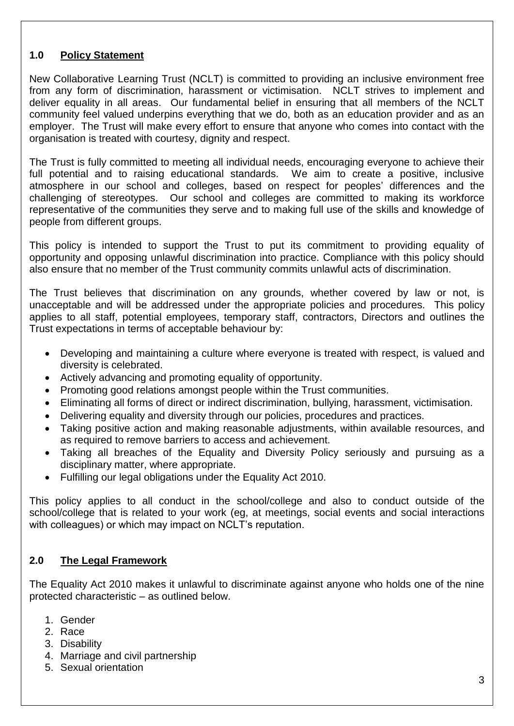#### **1.0 Policy Statement**

New Collaborative Learning Trust (NCLT) is committed to providing an inclusive environment free from any form of discrimination, harassment or victimisation. NCLT strives to implement and deliver equality in all areas. Our fundamental belief in ensuring that all members of the NCLT community feel valued underpins everything that we do, both as an education provider and as an employer. The Trust will make every effort to ensure that anyone who comes into contact with the organisation is treated with courtesy, dignity and respect.

The Trust is fully committed to meeting all individual needs, encouraging everyone to achieve their full potential and to raising educational standards. We aim to create a positive, inclusive atmosphere in our school and colleges, based on respect for peoples' differences and the challenging of stereotypes. Our school and colleges are committed to making its workforce representative of the communities they serve and to making full use of the skills and knowledge of people from different groups.

This policy is intended to support the Trust to put its commitment to providing equality of opportunity and opposing unlawful discrimination into practice. Compliance with this policy should also ensure that no member of the Trust community commits unlawful acts of discrimination.

The Trust believes that discrimination on any grounds, whether covered by law or not, is unacceptable and will be addressed under the appropriate policies and procedures. This policy applies to all staff, potential employees, temporary staff, contractors, Directors and outlines the Trust expectations in terms of acceptable behaviour by:

- Developing and maintaining a culture where everyone is treated with respect, is valued and diversity is celebrated.
- Actively advancing and promoting equality of opportunity.
- Promoting good relations amongst people within the Trust communities.
- Eliminating all forms of direct or indirect discrimination, bullying, harassment, victimisation.
- Delivering equality and diversity through our policies, procedures and practices.
- Taking positive action and making reasonable adjustments, within available resources, and as required to remove barriers to access and achievement.
- Taking all breaches of the Equality and Diversity Policy seriously and pursuing as a disciplinary matter, where appropriate.
- Fulfilling our legal obligations under the Equality Act 2010.

This policy applies to all conduct in the school/college and also to conduct outside of the school/college that is related to your work (eg, at meetings, social events and social interactions with colleagues) or which may impact on NCLT's reputation.

#### **2.0 The Legal Framework**

The Equality Act 2010 makes it unlawful to discriminate against anyone who holds one of the nine protected characteristic – as outlined below.

- 1. Gender
- 2. Race
- 3. Disability
- 4. Marriage and civil partnership
- 5. Sexual orientation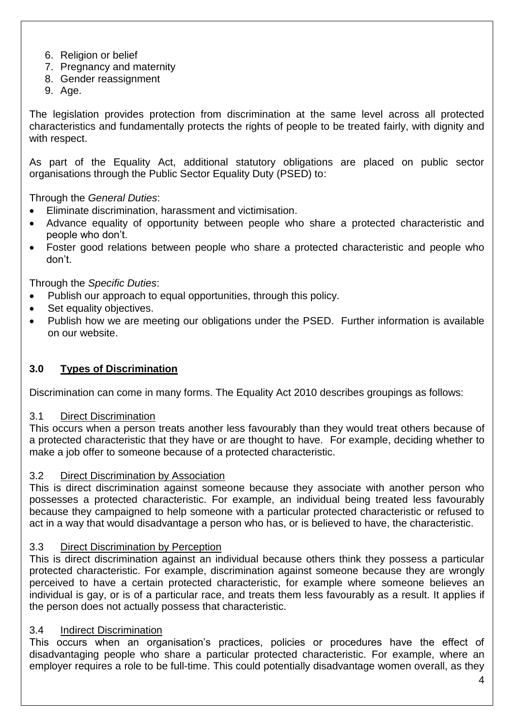- 6. Religion or belief
- 7. Pregnancy and maternity
- 8. Gender reassignment
- 9. Age.

The legislation provides protection from discrimination at the same level across all protected characteristics and fundamentally protects the rights of people to be treated fairly, with dignity and with respect.

As part of the Equality Act, additional statutory obligations are placed on public sector organisations through the Public Sector Equality Duty (PSED) to:

Through the *General Duties*:

- Eliminate discrimination, harassment and victimisation.
- Advance equality of opportunity between people who share a protected characteristic and people who don't.
- Foster good relations between people who share a protected characteristic and people who don't.

Through the *Specific Duties*:

- Publish our approach to equal opportunities, through this policy.
- Set equality objectives.
- Publish how we are meeting our obligations under the PSED. Further information is available on our website.

### **3.0 Types of Discrimination**

Discrimination can come in many forms. The Equality Act 2010 describes groupings as follows:

#### 3.1 Direct Discrimination

This occurs when a person treats another less favourably than they would treat others because of a protected characteristic that they have or are thought to have. For example, deciding whether to make a job offer to someone because of a protected characteristic.

#### 3.2 Direct Discrimination by Association

This is direct discrimination against someone because they associate with another person who possesses a protected characteristic. For example, an individual being treated less favourably because they campaigned to help someone with a particular protected characteristic or refused to act in a way that would disadvantage a person who has, or is believed to have, the characteristic.

#### 3.3 Direct Discrimination by Perception

This is direct discrimination against an individual because others think they possess a particular protected characteristic. For example, discrimination against someone because they are wrongly perceived to have a certain protected characteristic, for example where someone believes an individual is gay, or is of a particular race, and treats them less favourably as a result. It applies if the person does not actually possess that characteristic.

#### 3.4 Indirect Discrimination

This occurs when an organisation's practices, policies or procedures have the effect of disadvantaging people who share a particular protected characteristic. For example, where an employer requires a role to be full-time. This could potentially disadvantage women overall, as they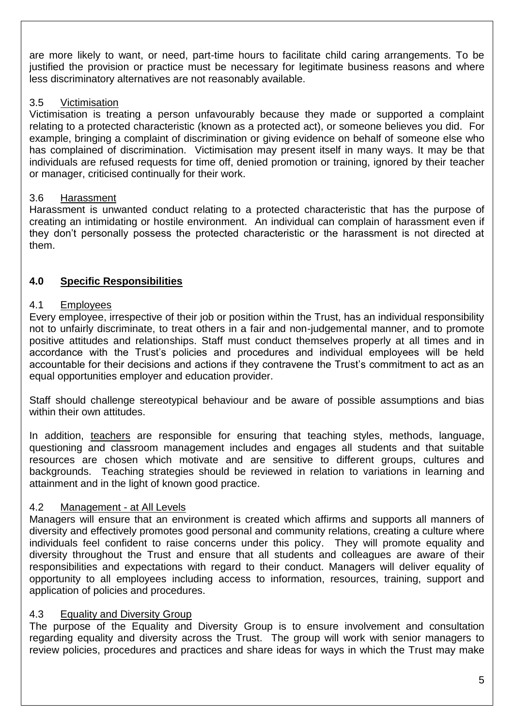are more likely to want, or need, part-time hours to facilitate child caring arrangements. To be justified the provision or practice must be necessary for legitimate business reasons and where less discriminatory alternatives are not reasonably available.

#### 3.5 Victimisation

Victimisation is treating a person unfavourably because they made or supported a complaint relating to a protected characteristic (known as a protected act), or someone believes you did. For example, bringing a complaint of discrimination or giving evidence on behalf of someone else who has complained of discrimination. Victimisation may present itself in many ways. It may be that individuals are refused requests for time off, denied promotion or training, ignored by their teacher or manager, criticised continually for their work.

#### 3.6 Harassment

Harassment is unwanted conduct relating to a protected characteristic that has the purpose of creating an intimidating or hostile environment. An individual can complain of harassment even if they don't personally possess the protected characteristic or the harassment is not directed at them.

#### **4.0 Specific Responsibilities**

#### 4.1 Employees

Every employee, irrespective of their job or position within the Trust, has an individual responsibility not to unfairly discriminate, to treat others in a fair and non-judgemental manner, and to promote positive attitudes and relationships. Staff must conduct themselves properly at all times and in accordance with the Trust's policies and procedures and individual employees will be held accountable for their decisions and actions if they contravene the Trust's commitment to act as an equal opportunities employer and education provider.

Staff should challenge stereotypical behaviour and be aware of possible assumptions and bias within their own attitudes.

In addition, teachers are responsible for ensuring that teaching styles, methods, language, questioning and classroom management includes and engages all students and that suitable resources are chosen which motivate and are sensitive to different groups, cultures and backgrounds. Teaching strategies should be reviewed in relation to variations in learning and attainment and in the light of known good practice.

#### 4.2 Management - at All Levels

Managers will ensure that an environment is created which affirms and supports all manners of diversity and effectively promotes good personal and community relations, creating a culture where individuals feel confident to raise concerns under this policy. They will promote equality and diversity throughout the Trust and ensure that all students and colleagues are aware of their responsibilities and expectations with regard to their conduct. Managers will deliver equality of opportunity to all employees including access to information, resources, training, support and application of policies and procedures.

#### 4.3 Equality and Diversity Group

The purpose of the Equality and Diversity Group is to ensure involvement and consultation regarding equality and diversity across the Trust. The group will work with senior managers to review policies, procedures and practices and share ideas for ways in which the Trust may make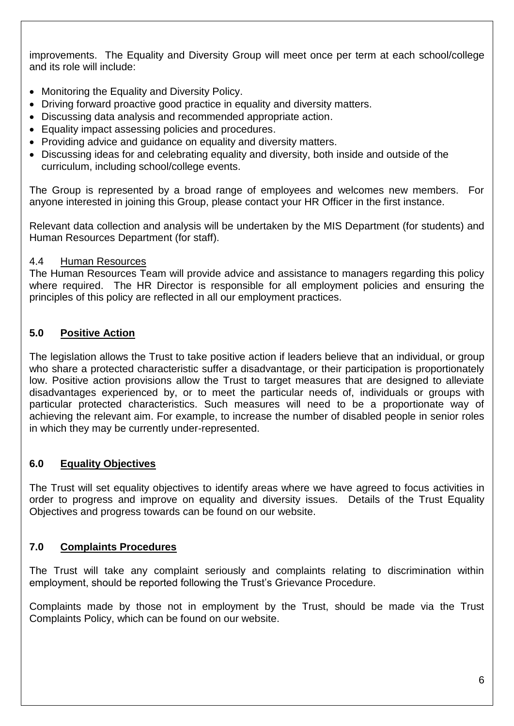improvements. The Equality and Diversity Group will meet once per term at each school/college and its role will include:

- Monitoring the Equality and Diversity Policy.
- Driving forward proactive good practice in equality and diversity matters.
- Discussing data analysis and recommended appropriate action.
- Equality impact assessing policies and procedures.
- Providing advice and guidance on equality and diversity matters.
- Discussing ideas for and celebrating equality and diversity, both inside and outside of the curriculum, including school/college events.

The Group is represented by a broad range of employees and welcomes new members. For anyone interested in joining this Group, please contact your HR Officer in the first instance.

Relevant data collection and analysis will be undertaken by the MIS Department (for students) and Human Resources Department (for staff).

#### 4.4 Human Resources

The Human Resources Team will provide advice and assistance to managers regarding this policy where required. The HR Director is responsible for all employment policies and ensuring the principles of this policy are reflected in all our employment practices.

#### **5.0 Positive Action**

The legislation allows the Trust to take positive action if leaders believe that an individual, or group who share a protected characteristic suffer a disadvantage, or their participation is proportionately low. Positive action provisions allow the Trust to target measures that are designed to alleviate disadvantages experienced by, or to meet the particular needs of, individuals or groups with particular protected characteristics. Such measures will need to be a proportionate way of achieving the relevant aim. For example, to increase the number of disabled people in senior roles in which they may be currently under-represented.

#### **6.0 Equality Objectives**

The Trust will set equality objectives to identify areas where we have agreed to focus activities in order to progress and improve on equality and diversity issues. Details of the Trust Equality Objectives and progress towards can be found on our website.

#### **7.0 Complaints Procedures**

The Trust will take any complaint seriously and complaints relating to discrimination within employment, should be reported following the Trust's Grievance Procedure.

Complaints made by those not in employment by the Trust, should be made via the Trust Complaints Policy, which can be found on our website.